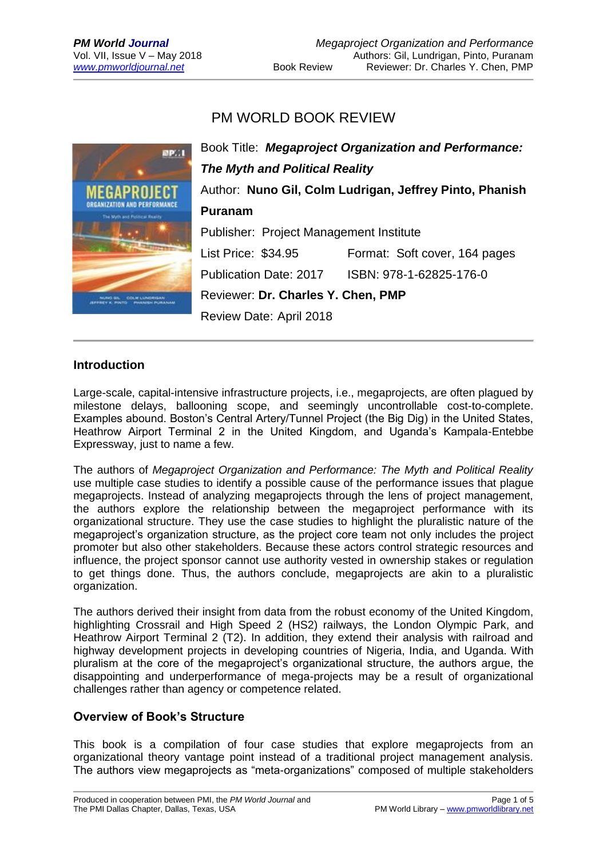# PM WORLD BOOK REVIEW



### **Introduction**

Large-scale, capital-intensive infrastructure projects, i.e., megaprojects, are often plagued by milestone delays, ballooning scope, and seemingly uncontrollable cost-to-complete. Examples abound. Boston's Central Artery/Tunnel Project (the Big Dig) in the United States, Heathrow Airport Terminal 2 in the United Kingdom, and Uganda's Kampala-Entebbe Expressway, just to name a few.

The authors of *Megaproject Organization and Performance: The Myth and Political Reality* use multiple case studies to identify a possible cause of the performance issues that plague megaprojects. Instead of analyzing megaprojects through the lens of project management, the authors explore the relationship between the megaproject performance with its organizational structure. They use the case studies to highlight the pluralistic nature of the megaproject's organization structure, as the project core team not only includes the project promoter but also other stakeholders. Because these actors control strategic resources and influence, the project sponsor cannot use authority vested in ownership stakes or regulation to get things done. Thus, the authors conclude, megaprojects are akin to a pluralistic organization.

The authors derived their insight from data from the robust economy of the United Kingdom, highlighting Crossrail and High Speed 2 (HS2) railways, the London Olympic Park, and Heathrow Airport Terminal 2 (T2). In addition, they extend their analysis with railroad and highway development projects in developing countries of Nigeria, India, and Uganda. With pluralism at the core of the megaproject's organizational structure, the authors argue, the disappointing and underperformance of mega-projects may be a result of organizational challenges rather than agency or competence related.

### **Overview of Book's Structure**

This book is a compilation of four case studies that explore megaprojects from an organizational theory vantage point instead of a traditional project management analysis. The authors view megaprojects as "meta-organizations" composed of multiple stakeholders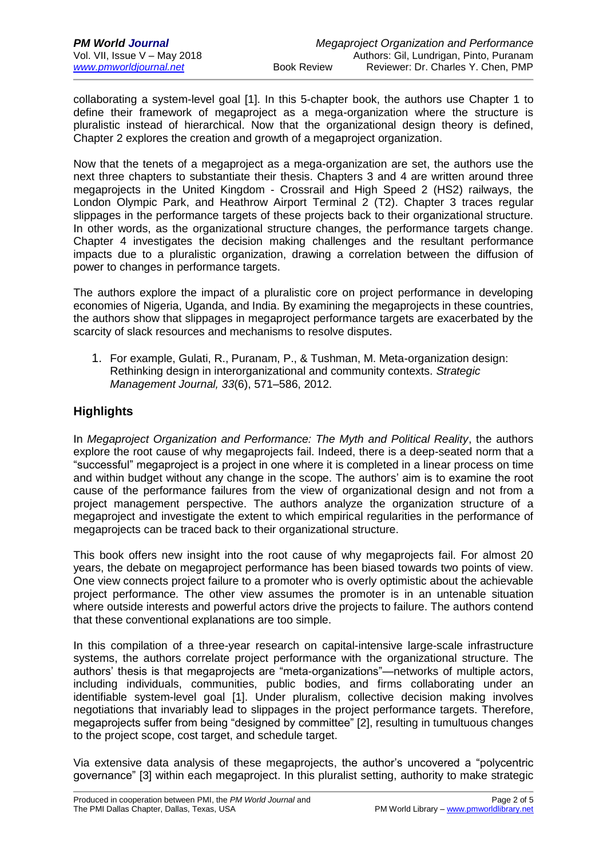collaborating a system-level goal [1]. In this 5-chapter book, the authors use Chapter 1 to define their framework of megaproject as a mega-organization where the structure is pluralistic instead of hierarchical. Now that the organizational design theory is defined, Chapter 2 explores the creation and growth of a megaproject organization.

Now that the tenets of a megaproject as a mega-organization are set, the authors use the next three chapters to substantiate their thesis. Chapters 3 and 4 are written around three megaprojects in the United Kingdom - Crossrail and High Speed 2 (HS2) railways, the London Olympic Park, and Heathrow Airport Terminal 2 (T2). Chapter 3 traces regular slippages in the performance targets of these projects back to their organizational structure. In other words, as the organizational structure changes, the performance targets change. Chapter 4 investigates the decision making challenges and the resultant performance impacts due to a pluralistic organization, drawing a correlation between the diffusion of power to changes in performance targets.

The authors explore the impact of a pluralistic core on project performance in developing economies of Nigeria, Uganda, and India. By examining the megaprojects in these countries, the authors show that slippages in megaproject performance targets are exacerbated by the scarcity of slack resources and mechanisms to resolve disputes.

1. For example, Gulati, R., Puranam, P., & Tushman, M. Meta-organization design: Rethinking design in interorganizational and community contexts. *Strategic Management Journal, 33*(6), 571–586, 2012.

### **Highlights**

In *Megaproject Organization and Performance: The Myth and Political Reality*, the authors explore the root cause of why megaprojects fail. Indeed, there is a deep-seated norm that a "successful" megaproject is a project in one where it is completed in a linear process on time and within budget without any change in the scope. The authors' aim is to examine the root cause of the performance failures from the view of organizational design and not from a project management perspective. The authors analyze the organization structure of a megaproject and investigate the extent to which empirical regularities in the performance of megaprojects can be traced back to their organizational structure.

This book offers new insight into the root cause of why megaprojects fail. For almost 20 years, the debate on megaproject performance has been biased towards two points of view. One view connects project failure to a promoter who is overly optimistic about the achievable project performance. The other view assumes the promoter is in an untenable situation where outside interests and powerful actors drive the projects to failure. The authors contend that these conventional explanations are too simple.

In this compilation of a three-year research on capital-intensive large-scale infrastructure systems, the authors correlate project performance with the organizational structure. The authors' thesis is that megaprojects are "meta-organizations"—networks of multiple actors, including individuals, communities, public bodies, and firms collaborating under an identifiable system-level goal [1]. Under pluralism, collective decision making involves negotiations that invariably lead to slippages in the project performance targets. Therefore, megaprojects suffer from being "designed by committee" [2], resulting in tumultuous changes to the project scope, cost target, and schedule target.

Via extensive data analysis of these megaprojects, the author's uncovered a "polycentric governance" [3] within each megaproject. In this pluralist setting, authority to make strategic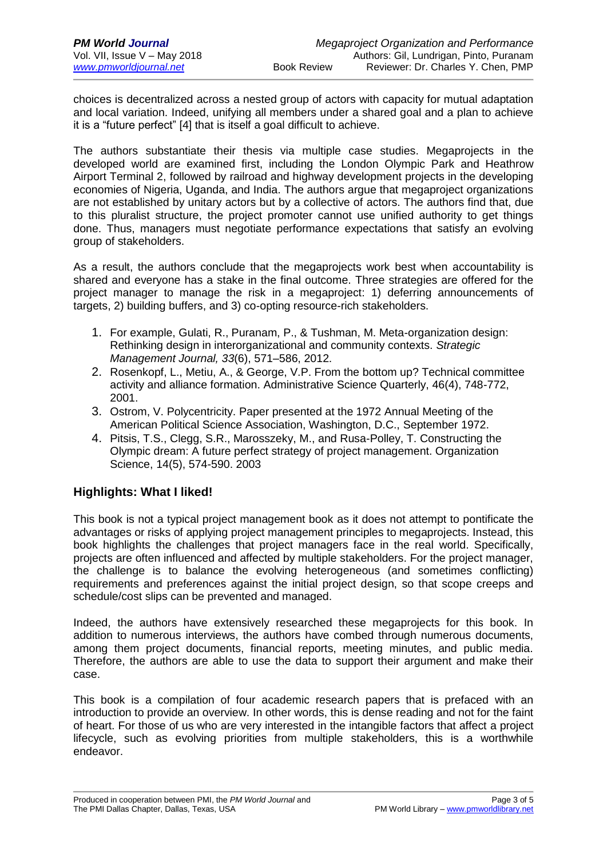choices is decentralized across a nested group of actors with capacity for mutual adaptation and local variation. Indeed, unifying all members under a shared goal and a plan to achieve it is a "future perfect" [4] that is itself a goal difficult to achieve.

The authors substantiate their thesis via multiple case studies. Megaprojects in the developed world are examined first, including the London Olympic Park and Heathrow Airport Terminal 2, followed by railroad and highway development projects in the developing economies of Nigeria, Uganda, and India. The authors argue that megaproject organizations are not established by unitary actors but by a collective of actors. The authors find that, due to this pluralist structure, the project promoter cannot use unified authority to get things done. Thus, managers must negotiate performance expectations that satisfy an evolving group of stakeholders.

As a result, the authors conclude that the megaprojects work best when accountability is shared and everyone has a stake in the final outcome. Three strategies are offered for the project manager to manage the risk in a megaproject: 1) deferring announcements of targets, 2) building buffers, and 3) co-opting resource-rich stakeholders.

- 1. For example, Gulati, R., Puranam, P., & Tushman, M. Meta-organization design: Rethinking design in interorganizational and community contexts. *Strategic Management Journal, 33*(6), 571–586, 2012.
- 2. Rosenkopf, L., Metiu, A., & George, V.P. From the bottom up? Technical committee activity and alliance formation. Administrative Science Quarterly, 46(4), 748-772, 2001.
- 3. Ostrom, V. Polycentricity. Paper presented at the 1972 Annual Meeting of the American Political Science Association, Washington, D.C., September 1972.
- 4. Pitsis, T.S., Clegg, S.R., Marosszeky, M., and Rusa-Polley, T. Constructing the Olympic dream: A future perfect strategy of project management. Organization Science, 14(5), 574-590. 2003

### **Highlights: What I liked!**

This book is not a typical project management book as it does not attempt to pontificate the advantages or risks of applying project management principles to megaprojects. Instead, this book highlights the challenges that project managers face in the real world. Specifically, projects are often influenced and affected by multiple stakeholders. For the project manager, the challenge is to balance the evolving heterogeneous (and sometimes conflicting) requirements and preferences against the initial project design, so that scope creeps and schedule/cost slips can be prevented and managed.

Indeed, the authors have extensively researched these megaprojects for this book. In addition to numerous interviews, the authors have combed through numerous documents, among them project documents, financial reports, meeting minutes, and public media. Therefore, the authors are able to use the data to support their argument and make their case.

This book is a compilation of four academic research papers that is prefaced with an introduction to provide an overview. In other words, this is dense reading and not for the faint of heart. For those of us who are very interested in the intangible factors that affect a project lifecycle, such as evolving priorities from multiple stakeholders, this is a worthwhile endeavor.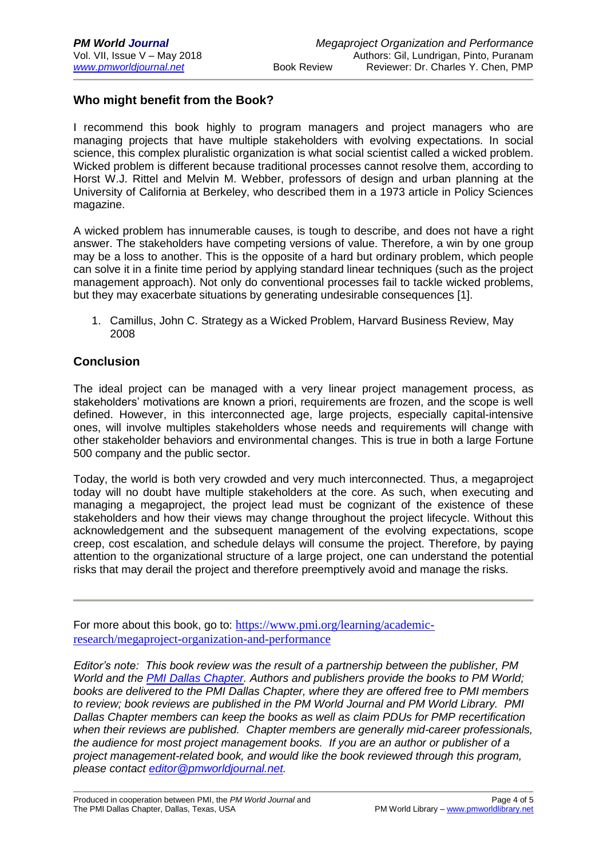### **Who might benefit from the Book?**

I recommend this book highly to program managers and project managers who are managing projects that have multiple stakeholders with evolving expectations. In social science, this complex pluralistic organization is what social scientist called a wicked problem. Wicked problem is different because traditional processes cannot resolve them, according to Horst W.J. Rittel and Melvin M. Webber, professors of design and urban planning at the University of California at Berkeley, who described them in a 1973 article in Policy Sciences magazine.

A wicked problem has innumerable causes, is tough to describe, and does not have a right answer. The stakeholders have competing versions of value. Therefore, a win by one group may be a loss to another. This is the opposite of a hard but ordinary problem, which people can solve it in a finite time period by applying standard linear techniques (such as the project management approach). Not only do conventional processes fail to tackle wicked problems, but they may exacerbate situations by generating undesirable consequences [1].

1. Camillus, John C. Strategy as a Wicked Problem, Harvard Business Review, May 2008

### **Conclusion**

The ideal project can be managed with a very linear project management process, as stakeholders' motivations are known a priori, requirements are frozen, and the scope is well defined. However, in this interconnected age, large projects, especially capital-intensive ones, will involve multiples stakeholders whose needs and requirements will change with other stakeholder behaviors and environmental changes. This is true in both a large Fortune 500 company and the public sector.

Today, the world is both very crowded and very much interconnected. Thus, a megaproject today will no doubt have multiple stakeholders at the core. As such, when executing and managing a megaproject, the project lead must be cognizant of the existence of these stakeholders and how their views may change throughout the project lifecycle. Without this acknowledgement and the subsequent management of the evolving expectations, scope creep, cost escalation, and schedule delays will consume the project. Therefore, by paying attention to the organizational structure of a large project, one can understand the potential risks that may derail the project and therefore preemptively avoid and manage the risks.

For more about this book, go to: [https://www.pmi.org/learning/academic](https://www.pmi.org/learning/academic-research/megaproject-organization-and-performance)[research/megaproject-organization-and-performance](https://www.pmi.org/learning/academic-research/megaproject-organization-and-performance)

*Editor's note: This book review was the result of a partnership between the publisher, PM World and the [PMI Dallas Chapter.](http://www.pmidallas.org/) Authors and publishers provide the books to PM World; books are delivered to the PMI Dallas Chapter, where they are offered free to PMI members to review; book reviews are published in the PM World Journal and PM World Library. PMI Dallas Chapter members can keep the books as well as claim PDUs for PMP recertification when their reviews are published. Chapter members are generally mid-career professionals, the audience for most project management books. If you are an author or publisher of a project management-related book, and would like the book reviewed through this program, please contact [editor@pmworldjournal.net.](mailto:editor@pmworldjournal.net)*